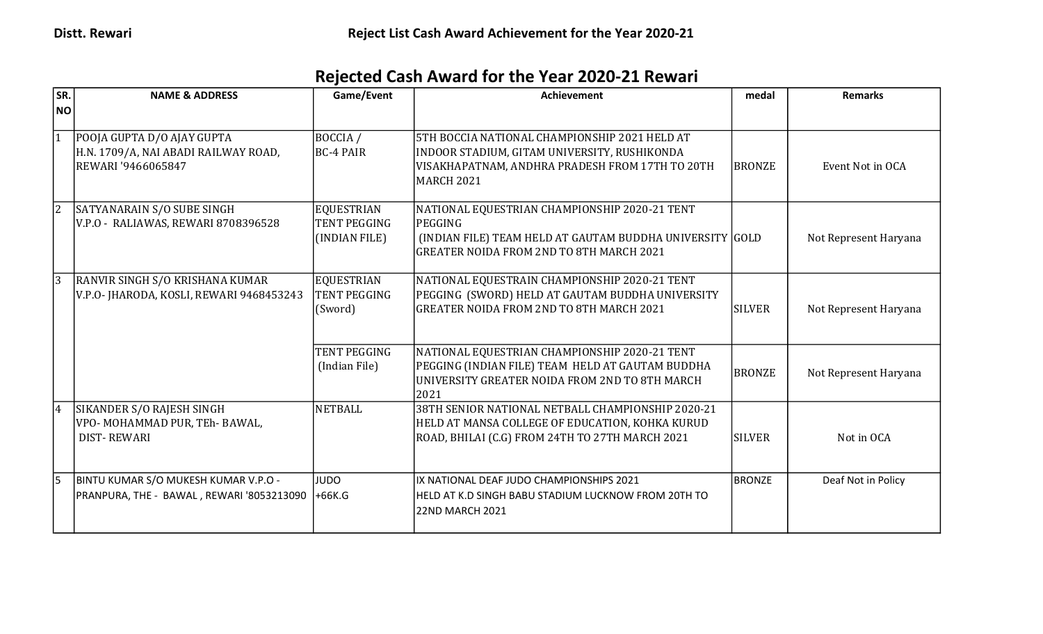## Rejected Cash Award for the Year 2020-21 Rewari

| SR.       | <b>NAME &amp; ADDRESS</b>                                                                | Game/Event                                                | <b>Achievement</b>                                                                                                                                                      | medal         | <b>Remarks</b>        |
|-----------|------------------------------------------------------------------------------------------|-----------------------------------------------------------|-------------------------------------------------------------------------------------------------------------------------------------------------------------------------|---------------|-----------------------|
| <b>NO</b> |                                                                                          |                                                           |                                                                                                                                                                         |               |                       |
|           | POOJA GUPTA D/O AJAY GUPTA<br>H.N. 1709/A, NAI ABADI RAILWAY ROAD,<br>REWARI '9466065847 | BOCCIA /<br><b>BC-4 PAIR</b>                              | 5TH BOCCIA NATIONAL CHAMPIONSHIP 2021 HELD AT<br>INDOOR STADIUM, GITAM UNIVERSITY, RUSHIKONDA<br>VISAKHAPATNAM, ANDHRA PRADESH FROM 17TH TO 20TH<br>MARCH 2021          | <b>BRONZE</b> | Event Not in OCA      |
|           | SATYANARAIN S/O SUBE SINGH<br>V.P.O - RALIAWAS, REWARI 8708396528                        | <b>EQUESTRIAN</b><br><b>TENT PEGGING</b><br>(INDIAN FILE) | NATIONAL EQUESTRIAN CHAMPIONSHIP 2020-21 TENT<br>PEGGING<br>(INDIAN FILE) TEAM HELD AT GAUTAM BUDDHA UNIVERSITY GOLD<br><b>GREATER NOIDA FROM 2ND TO 8TH MARCH 2021</b> |               | Not Represent Haryana |
|           | RANVIR SINGH S/O KRISHANA KUMAR<br>V.P.O- JHARODA, KOSLI, REWARI 9468453243              | <b>EQUESTRIAN</b><br>TENT PEGGING<br>(Sword)              | NATIONAL EQUESTRAIN CHAMPIONSHIP 2020-21 TENT<br>PEGGING (SWORD) HELD AT GAUTAM BUDDHA UNIVERSITY<br><b>GREATER NOIDA FROM 2ND TO 8TH MARCH 2021</b>                    | <b>SILVER</b> | Not Represent Haryana |
|           |                                                                                          | <b>TENT PEGGING</b><br>(Indian File)                      | NATIONAL EQUESTRIAN CHAMPIONSHIP 2020-21 TENT<br>PEGGING (INDIAN FILE) TEAM HELD AT GAUTAM BUDDHA<br>UNIVERSITY GREATER NOIDA FROM 2ND TO 8TH MARCH<br>2021             | <b>BRONZE</b> | Not Represent Haryana |
| 14        | SIKANDER S/O RAJESH SINGH<br>VPO- MOHAMMAD PUR, TEh- BAWAL,<br><b>DIST-REWARI</b>        | NETBALL                                                   | 38TH SENIOR NATIONAL NETBALL CHAMPIONSHIP 2020-21<br>HELD AT MANSA COLLEGE OF EDUCATION, KOHKA KURUD<br>ROAD, BHILAI (C.G) FROM 24TH TO 27TH MARCH 2021                 | <b>SILVER</b> | Not in OCA            |
|           | BINTU KUMAR S/O MUKESH KUMAR V.P.O -<br>PRANPURA, THE - BAWAL, REWARI '8053213090        | <b>JUDO</b><br>+66K.G                                     | lIX NATIONAL DEAF JUDO CHAMPIONSHIPS 2021<br>HELD AT K.D SINGH BABU STADIUM LUCKNOW FROM 20TH TO<br>22ND MARCH 2021                                                     | BRONZE        | Deaf Not in Policy    |